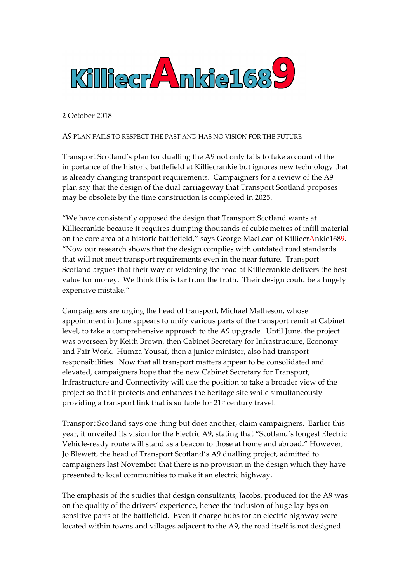

2 October 2018

## A9 PLAN FAILS TO RESPECT THE PAST AND HAS NO VISION FOR THE FUTURE

Transport Scotland's plan for dualling the A9 not only fails to take account of the importance of the historic battlefield at Killiecrankie but ignores new technology that is already changing transport requirements. Campaigners for a review of the A9 plan say that the design of the dual carriageway that Transport Scotland proposes may be obsolete by the time construction is completed in 2025.

"We have consistently opposed the design that Transport Scotland wants at Killiecrankie because it requires dumping thousands of cubic metres of infill material on the core area of a historic battlefield," says George MacLean of KilliecrAnkie1689. "Now our research shows that the design complies with outdated road standards that will not meet transport requirements even in the near future. Transport Scotland argues that their way of widening the road at Killiecrankie delivers the best value for money. We think this is far from the truth. Their design could be a hugely expensive mistake."

Campaigners are urging the head of transport, Michael Matheson, whose appointment in June appears to unify various parts of the transport remit at Cabinet level, to take a comprehensive approach to the A9 upgrade. Until June, the project was overseen by Keith Brown, then Cabinet Secretary for Infrastructure, Economy and Fair Work. Humza Yousaf, then a junior minister, also had transport responsibilities. Now that all transport matters appear to be consolidated and elevated, campaigners hope that the new Cabinet Secretary for Transport, Infrastructure and Connectivity will use the position to take a broader view of the project so that it protects and enhances the heritage site while simultaneously providing a transport link that is suitable for 21<sup>st</sup> century travel.

Transport Scotland says one thing but does another, claim campaigners. Earlier this year, it unveiled its vision for the Electric A9, stating that "Scotland's longest Electric Vehicle-ready route will stand as a beacon to those at home and abroad." However, Jo Blewett, the head of Transport Scotland's A9 dualling project, admitted to campaigners last November that there is no provision in the design which they have presented to local communities to make it an electric highway.

The emphasis of the studies that design consultants, Jacobs, produced for the A9 was on the quality of the drivers' experience, hence the inclusion of huge lay-bys on sensitive parts of the battlefield. Even if charge hubs for an electric highway were located within towns and villages adjacent to the A9, the road itself is not designed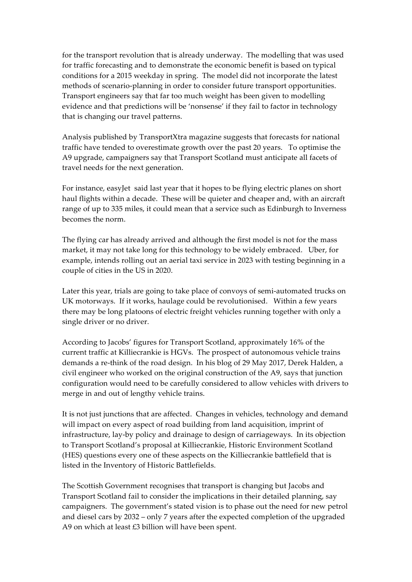for the transport revolution that is already underway. The modelling that was used for traffic forecasting and to demonstrate the economic benefit is based on typical conditions for a 2015 weekday in spring. The model did not incorporate the latest methods of scenario-planning in order to consider future transport opportunities. Transport engineers say that far too much weight has been given to modelling evidence and that predictions will be 'nonsense' if they fail to factor in technology that is changing our travel patterns.

Analysis published by TransportXtra magazine suggests that forecasts for national traffic have tended to overestimate growth over the past 20 years. To optimise the A9 upgrade, campaigners say that Transport Scotland must anticipate all facets of travel needs for the next generation.

For instance, easyJet said last year that it hopes to be flying electric planes on short haul flights within a decade. These will be quieter and cheaper and, with an aircraft range of up to 335 miles, it could mean that a service such as Edinburgh to Inverness becomes the norm.

The flying car has already arrived and although the first model is not for the mass market, it may not take long for this technology to be widely embraced. Uber, for example, intends rolling out an aerial taxi service in 2023 with testing beginning in a couple of cities in the US in 2020.

Later this year, trials are going to take place of convoys of semi-automated trucks on UK motorways. If it works, haulage could be revolutionised. Within a few years there may be long platoons of electric freight vehicles running together with only a single driver or no driver.

According to Jacobs' figures for Transport Scotland, approximately 16% of the current traffic at Killiecrankie is HGVs. The prospect of autonomous vehicle trains demands a re-think of the road design. In his blog of 29 May 2017, Derek Halden, a civil engineer who worked on the original construction of the A9, says that junction configuration would need to be carefully considered to allow vehicles with drivers to merge in and out of lengthy vehicle trains.

It is not just junctions that are affected. Changes in vehicles, technology and demand will impact on every aspect of road building from land acquisition, imprint of infrastructure, lay-by policy and drainage to design of carriageways. In its objection to Transport Scotland's proposal at Killiecrankie, Historic Environment Scotland (HES) questions every one of these aspects on the Killiecrankie battlefield that is listed in the Inventory of Historic Battlefields.

The Scottish Government recognises that transport is changing but Jacobs and Transport Scotland fail to consider the implications in their detailed planning, say campaigners. The government's stated vision is to phase out the need for new petrol and diesel cars by 2032 – only 7 years after the expected completion of the upgraded A9 on which at least £3 billion will have been spent.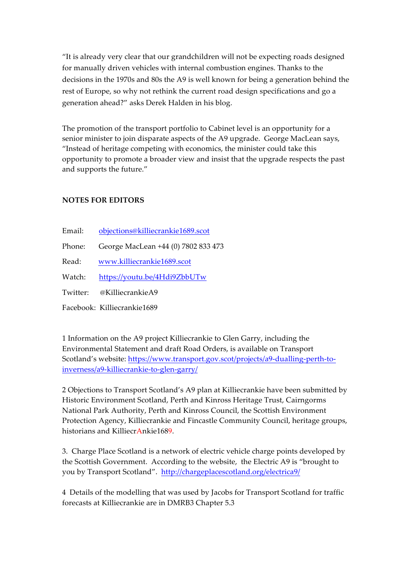"It is already very clear that our grandchildren will not be expecting roads designed for manually driven vehicles with internal combustion engines. Thanks to the decisions in the 1970s and 80s the A9 is well known for being a generation behind the rest of Europe, so why not rethink the current road design specifications and go a generation ahead?" asks Derek Halden in his blog.

The promotion of the transport portfolio to Cabinet level is an opportunity for a senior minister to join disparate aspects of the A9 upgrade. George MacLean says, "Instead of heritage competing with economics, the minister could take this opportunity to promote a broader view and insist that the upgrade respects the past and supports the future."

## **NOTES FOR EDITORS**

- Email: objections@killiecrankie1689.scot
- Phone: George MacLean +44 (0) 7802 833 473
- Read: www.killiecrankie1689.scot
- Watch: https://youtu.be/4Hdi9ZbbUTw
- Twitter: @KilliecrankieA9
- Facebook: Killiecrankie1689

1 Information on the A9 project Killiecrankie to Glen Garry, including the Environmental Statement and draft Road Orders, is available on Transport Scotland's website: https://www.transport.gov.scot/projects/a9-dualling-perth-toinverness/a9-killiecrankie-to-glen-garry/

2 Objections to Transport Scotland's A9 plan at Killiecrankie have been submitted by Historic Environment Scotland, Perth and Kinross Heritage Trust, Cairngorms National Park Authority, Perth and Kinross Council, the Scottish Environment Protection Agency, Killiecrankie and Fincastle Community Council, heritage groups, historians and KilliecrAnkie1689.

3. Charge Place Scotland is a network of electric vehicle charge points developed by the Scottish Government. According to the website, the Electric A9 is "brought to you by Transport Scotland". http://chargeplacescotland.org/electrica9/

4 Details of the modelling that was used by Jacobs for Transport Scotland for traffic forecasts at Killiecrankie are in DMRB3 Chapter 5.3